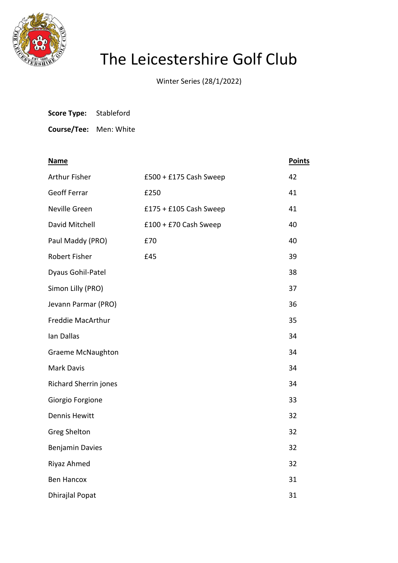

## The Leicestershire Golf Club

Winter Series (28/1/2022)

| <b>Score Type:</b> |  | Stableford |
|--------------------|--|------------|
|--------------------|--|------------|

**Course/Tee:** Men: White

| <b>Name</b>              |                          | <b>Points</b> |
|--------------------------|--------------------------|---------------|
| <b>Arthur Fisher</b>     | £500 + £175 Cash Sweep   | 42            |
| <b>Geoff Ferrar</b>      | £250                     | 41            |
| Neville Green            | $£175 + £105$ Cash Sweep | 41            |
| David Mitchell           | £100 + £70 Cash Sweep    | 40            |
| Paul Maddy (PRO)         | £70                      | 40            |
| <b>Robert Fisher</b>     | £45                      | 39            |
| Dyaus Gohil-Patel        |                          | 38            |
| Simon Lilly (PRO)        |                          | 37            |
| Jevann Parmar (PRO)      |                          | 36            |
| Freddie MacArthur        |                          | 35            |
| Ian Dallas               |                          | 34            |
| <b>Graeme McNaughton</b> |                          | 34            |
| <b>Mark Davis</b>        |                          | 34            |
| Richard Sherrin jones    |                          | 34            |
| Giorgio Forgione         |                          | 33            |
| <b>Dennis Hewitt</b>     |                          | 32            |
| <b>Greg Shelton</b>      |                          | 32            |
| <b>Benjamin Davies</b>   |                          | 32            |
| Riyaz Ahmed              |                          | 32            |
| <b>Ben Hancox</b>        |                          | 31            |
| <b>Dhirajlal Popat</b>   |                          | 31            |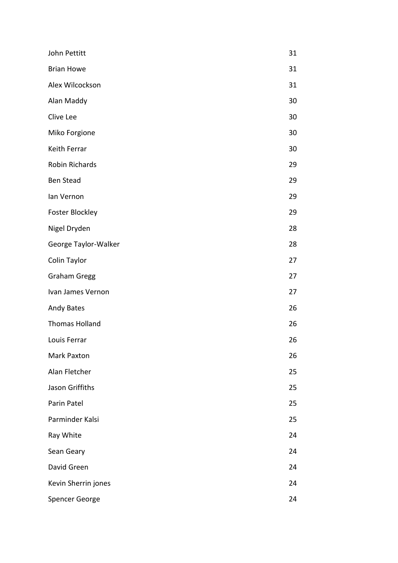| John Pettitt           | 31 |
|------------------------|----|
| <b>Brian Howe</b>      | 31 |
| Alex Wilcockson        | 31 |
| Alan Maddy             | 30 |
| Clive Lee              | 30 |
| Miko Forgione          | 30 |
| Keith Ferrar           | 30 |
| Robin Richards         | 29 |
| <b>Ben Stead</b>       | 29 |
| lan Vernon             | 29 |
| <b>Foster Blockley</b> | 29 |
| Nigel Dryden           | 28 |
| George Taylor-Walker   | 28 |
| Colin Taylor           | 27 |
| <b>Graham Gregg</b>    | 27 |
| Ivan James Vernon      | 27 |
| <b>Andy Bates</b>      | 26 |
| <b>Thomas Holland</b>  | 26 |
| Louis Ferrar           | 26 |
| Mark Paxton            | 26 |
| Alan Fletcher          | 25 |
| Jason Griffiths        | 25 |
| Parin Patel            | 25 |
| Parminder Kalsi        | 25 |
| Ray White              | 24 |
| Sean Geary             | 24 |
| David Green            | 24 |
| Kevin Sherrin jones    | 24 |
| Spencer George         | 24 |